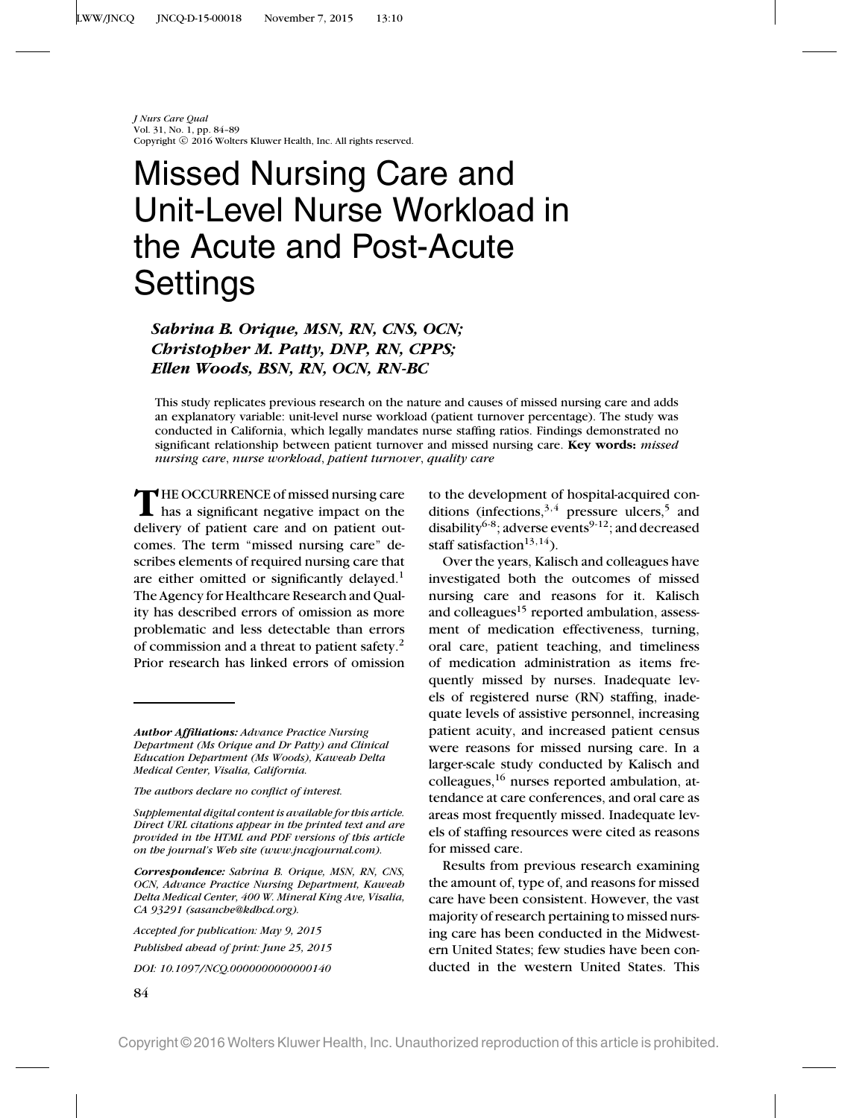# Missed Nursing Care and Unit-Level Nurse Workload in the Acute and Post-Acute **Settings**

## *Sabrina B. Orique, MSN, RN, CNS, OCN; Christopher M. Patty, DNP, RN, CPPS; Ellen Woods, BSN, RN, OCN, RN-BC*

This study replicates previous research on the nature and causes of missed nursing care and adds an explanatory variable: unit-level nurse workload (patient turnover percentage). The study was conducted in California, which legally mandates nurse staffing ratios. Findings demonstrated no significant relationship between patient turnover and missed nursing care. **Key words:** *missed nursing care*, *nurse workload*, *patient turnover*, *quality care*

THE OCCURRENCE of missed nursing care<br>has a significant negative impact on the delivery of patient care and on patient outcomes. The term "missed nursing care" describes elements of required nursing care that are either omitted or significantly delayed.<sup>1</sup> The Agency for Healthcare Research and Quality has described errors of omission as more problematic and less detectable than errors of commission and a threat to patient safety.<sup>2</sup> Prior research has linked errors of omission

*The authors declare no conflict of interest.*

*Correspondence: Sabrina B. Orique, MSN, RN, CNS, OCN, Advance Practice Nursing Department, Kaweah Delta Medical Center, 400 W. Mineral King Ave, Visalia, CA 93291 [\(sasanche@kdhcd.org\)](mailto:sasanche@kdhcd.org).*

*Accepted for publication: May 9, 2015 Published ahead of print: June 25, 2015 DOI: 10.1097/NCQ.0000000000000140*

to the development of hospital-acquired conditions (infections,  $3,4$  pressure ulcers, 5 and disability<sup>6-8</sup>; adverse events<sup>9-12</sup>; and decreased staff satisfaction<sup>13,14</sup>).

Over the years, Kalisch and colleagues have investigated both the outcomes of missed nursing care and reasons for it. Kalisch and colleagues $15$  reported ambulation, assessment of medication effectiveness, turning, oral care, patient teaching, and timeliness of medication administration as items frequently missed by nurses. Inadequate levels of registered nurse (RN) staffing, inadequate levels of assistive personnel, increasing patient acuity, and increased patient census were reasons for missed nursing care. In a larger-scale study conducted by Kalisch and colleagues,16 nurses reported ambulation, attendance at care conferences, and oral care as areas most frequently missed. Inadequate levels of staffing resources were cited as reasons for missed care.

Results from previous research examining the amount of, type of, and reasons for missed care have been consistent. However, the vast majority of research pertaining to missed nursing care has been conducted in the Midwestern United States; few studies have been conducted in the western United States. This

*Author Affiliations: Advance Practice Nursing Department (Ms Orique and Dr Patty) and Clinical Education Department (Ms Woods), Kaweah Delta Medical Center, Visalia, California.*

*Supplemental digital content is available for this article. Direct URL citations appear in the printed text and are provided in the HTML and PDF versions of this article on the journal's Web site [\(www.jncqjournal.com\)](http://www.jncqjournal.com).*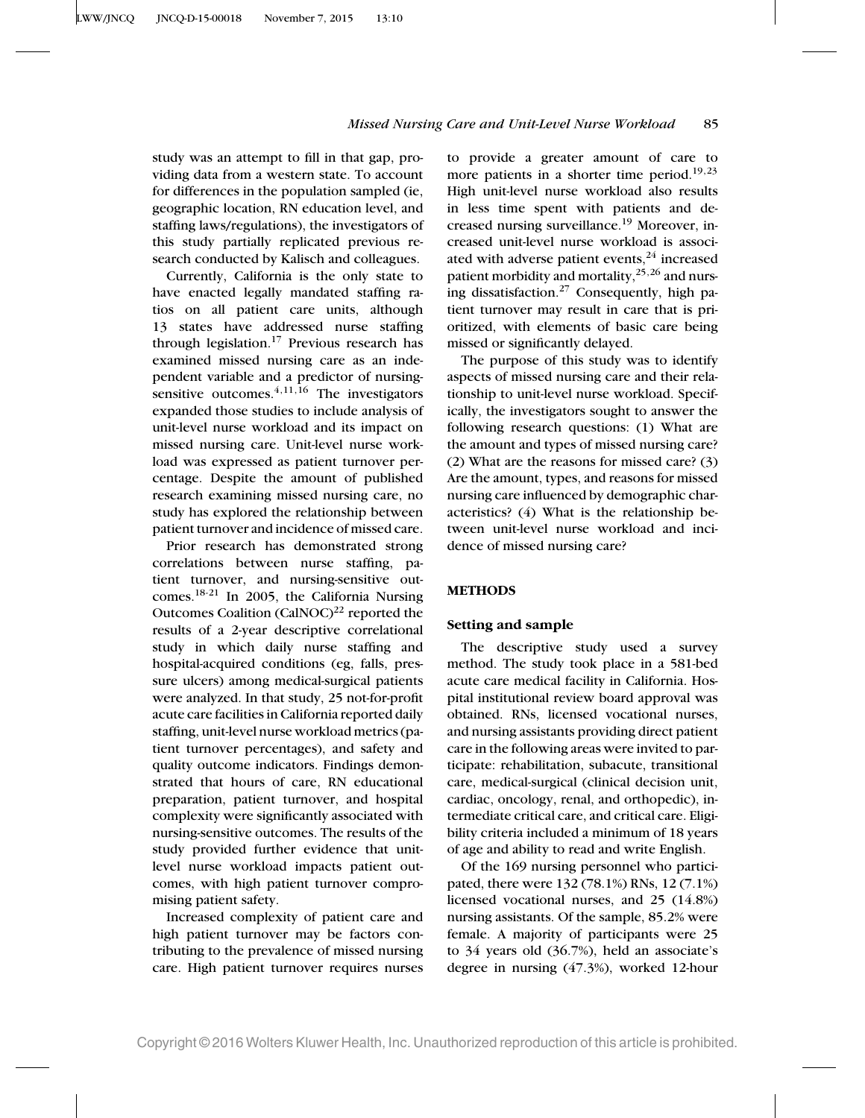study was an attempt to fill in that gap, providing data from a western state. To account for differences in the population sampled (ie, geographic location, RN education level, and staffing laws/regulations), the investigators of this study partially replicated previous research conducted by Kalisch and colleagues.

Currently, California is the only state to have enacted legally mandated staffing ratios on all patient care units, although 13 states have addressed nurse staffing through legislation.<sup>17</sup> Previous research has examined missed nursing care as an independent variable and a predictor of nursingsensitive outcomes.  $4,11,16$  The investigators expanded those studies to include analysis of unit-level nurse workload and its impact on missed nursing care. Unit-level nurse workload was expressed as patient turnover percentage. Despite the amount of published research examining missed nursing care, no study has explored the relationship between patient turnover and incidence of missed care.

Prior research has demonstrated strong correlations between nurse staffing, patient turnover, and nursing-sensitive outcomes.18-21 In 2005, the California Nursing Outcomes Coalition (CalNOC) $^{22}$  reported the results of a 2-year descriptive correlational study in which daily nurse staffing and hospital-acquired conditions (eg, falls, pressure ulcers) among medical-surgical patients were analyzed. In that study, 25 not-for-profit acute care facilities in California reported daily staffing, unit-level nurse workload metrics (patient turnover percentages), and safety and quality outcome indicators. Findings demonstrated that hours of care, RN educational preparation, patient turnover, and hospital complexity were significantly associated with nursing-sensitive outcomes. The results of the study provided further evidence that unitlevel nurse workload impacts patient outcomes, with high patient turnover compromising patient safety.

Increased complexity of patient care and high patient turnover may be factors contributing to the prevalence of missed nursing care. High patient turnover requires nurses

to provide a greater amount of care to more patients in a shorter time period.<sup>19,23</sup> High unit-level nurse workload also results in less time spent with patients and decreased nursing surveillance.19 Moreover, increased unit-level nurse workload is associated with adverse patient events, $24$  increased patient morbidity and mortality,  $25,26$  and nursing dissatisfaction.27 Consequently, high patient turnover may result in care that is prioritized, with elements of basic care being missed or significantly delayed.

The purpose of this study was to identify aspects of missed nursing care and their relationship to unit-level nurse workload. Specifically, the investigators sought to answer the following research questions: (1) What are the amount and types of missed nursing care? (2) What are the reasons for missed care? (3) Are the amount, types, and reasons for missed nursing care influenced by demographic characteristics? (4) What is the relationship between unit-level nurse workload and incidence of missed nursing care?

#### **METHODS**

## **Setting and sample**

The descriptive study used a survey method. The study took place in a 581-bed acute care medical facility in California. Hospital institutional review board approval was obtained. RNs, licensed vocational nurses, and nursing assistants providing direct patient care in the following areas were invited to participate: rehabilitation, subacute, transitional care, medical-surgical (clinical decision unit, cardiac, oncology, renal, and orthopedic), intermediate critical care, and critical care. Eligibility criteria included a minimum of 18 years of age and ability to read and write English.

Of the 169 nursing personnel who participated, there were 132 (78.1%) RNs, 12 (7.1%) licensed vocational nurses, and 25 (14.8%) nursing assistants. Of the sample, 85.2% were female. A majority of participants were 25 to 34 years old (36.7%), held an associate's degree in nursing (47.3%), worked 12-hour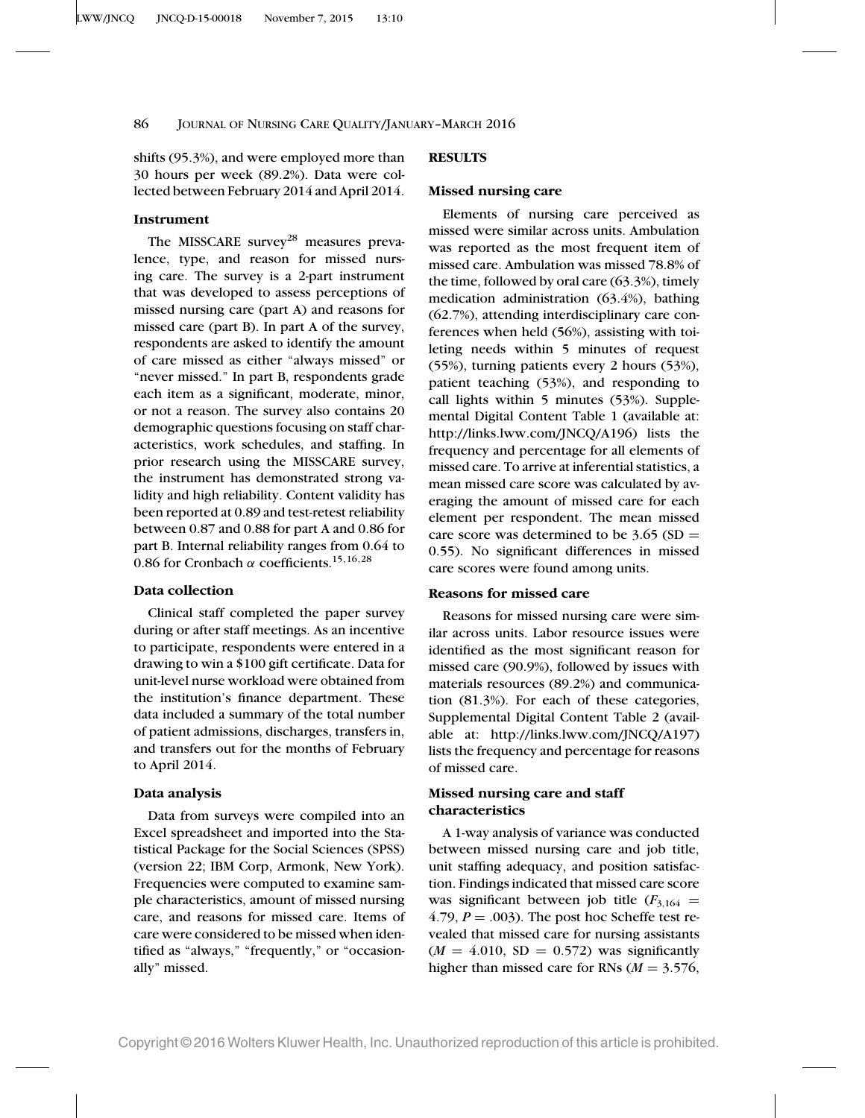shifts (95.3%), and were employed more than 30 hours per week (89.2%). Data were collected between February 2014 and April 2014.

#### **Instrument**

The MISSCARE survey<sup>28</sup> measures prevalence, type, and reason for missed nursing care. The survey is a 2-part instrument that was developed to assess perceptions of missed nursing care (part A) and reasons for missed care (part B). In part A of the survey, respondents are asked to identify the amount of care missed as either "always missed" or "never missed." In part B, respondents grade each item as a significant, moderate, minor, or not a reason. The survey also contains 20 demographic questions focusing on staff characteristics, work schedules, and staffing. In prior research using the MISSCARE survey, the instrument has demonstrated strong validity and high reliability. Content validity has been reported at 0.89 and test-retest reliability between 0.87 and 0.88 for part A and 0.86 for part B. Internal reliability ranges from 0.64 to 0.86 for Cronbach  $\alpha$  coefficients.<sup>15,16,28</sup>

## **Data collection**

Clinical staff completed the paper survey during or after staff meetings. As an incentive to participate, respondents were entered in a drawing to win a \$100 gift certificate. Data for unit-level nurse workload were obtained from the institution's finance department. These data included a summary of the total number of patient admissions, discharges, transfers in, and transfers out for the months of February to April 2014.

## **Data analysis**

Data from surveys were compiled into an Excel spreadsheet and imported into the Statistical Package for the Social Sciences (SPSS) (version 22; IBM Corp, Armonk, New York). Frequencies were computed to examine sample characteristics, amount of missed nursing care, and reasons for missed care. Items of care were considered to be missed when identified as "always," "frequently," or "occasionally" missed.

#### **RESULTS**

#### **Missed nursing care**

Elements of nursing care perceived as missed were similar across units. Ambulation was reported as the most frequent item of missed care. Ambulation was missed 78.8% of the time, followed by oral care (63.3%), timely medication administration (63.4%), bathing (62.7%), attending interdisciplinary care conferences when held (56%), assisting with toileting needs within 5 minutes of request (55%), turning patients every 2 hours (53%), patient teaching (53%), and responding to call lights within 5 minutes (53%). Supplemental Digital Content Table 1 (available at: [http://links.lww.com/JNCQ/A196\)](http://links.lww.com/JNCQ/A196) lists the frequency and percentage for all elements of missed care. To arrive at inferential statistics, a mean missed care score was calculated by averaging the amount of missed care for each element per respondent. The mean missed care score was determined to be  $3.65$  (SD = 0.55). No significant differences in missed care scores were found among units.

#### **Reasons for missed care**

Reasons for missed nursing care were similar across units. Labor resource issues were identified as the most significant reason for missed care (90.9%), followed by issues with materials resources (89.2%) and communication (81.3%). For each of these categories, Supplemental Digital Content Table 2 (available at: [http://links.lww.com/JNCQ/A197\)](http://links.lww.com/JNCQ/A197) lists the frequency and percentage for reasons of missed care.

## **Missed nursing care and staff characteristics**

A 1-way analysis of variance was conducted between missed nursing care and job title, unit staffing adequacy, and position satisfaction. Findings indicated that missed care score was significant between job title  $(F_{3,164} =$ 4.79,  $P = .003$ ). The post hoc Scheffe test revealed that missed care for nursing assistants  $(M = 4.010, SD = 0.572)$  was significantly higher than missed care for RNs (*M* = 3.576,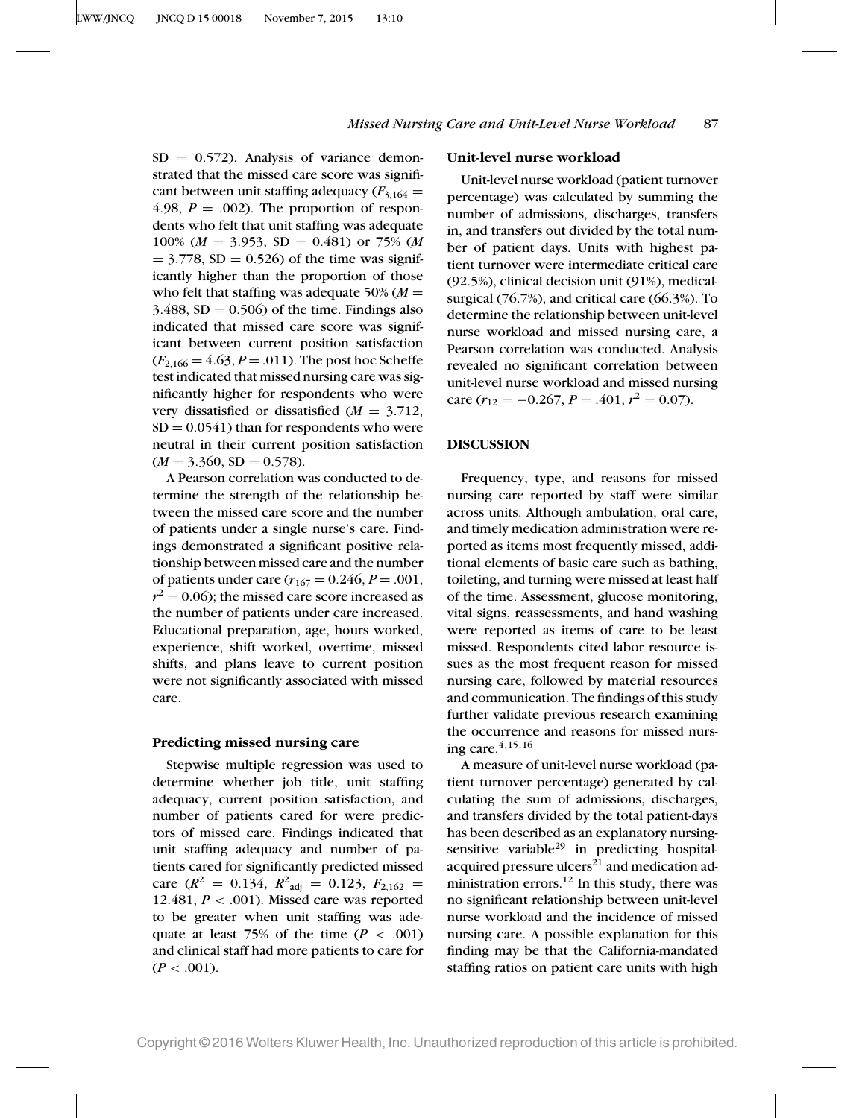$SD = 0.572$ . Analysis of variance demonstrated that the missed care score was significant between unit staffing adequacy  $(F_{3,164} =$ 4.98,  $P = .002$ ). The proportion of respondents who felt that unit staffing was adequate 100% (*M* = 3.953, SD = 0.481) or 75% (*M*  $= 3.778$ , SD  $= 0.526$ ) of the time was significantly higher than the proportion of those who felt that staffing was adequate 50% ( $M =$  $3.488$ , SD = 0.506) of the time. Findings also indicated that missed care score was significant between current position satisfaction  $(F_{2,166} = 4.63, P = .011)$ . The post hoc Scheffe test indicated that missed nursing care was significantly higher for respondents who were very dissatisfied or dissatisfied  $(M = 3.712)$ ,  $SD = 0.0541$ ) than for respondents who were neutral in their current position satisfaction  $(M = 3.360, SD = 0.578).$ 

A Pearson correlation was conducted to determine the strength of the relationship between the missed care score and the number of patients under a single nurse's care. Findings demonstrated a significant positive relationship between missed care and the number of patients under care ( $r_{167} = 0.246$ ,  $P = .001$ ,  $r^2$  = 0.06); the missed care score increased as the number of patients under care increased. Educational preparation, age, hours worked, experience, shift worked, overtime, missed shifts, and plans leave to current position were not significantly associated with missed care.

## **Predicting missed nursing care**

Stepwise multiple regression was used to determine whether job title, unit staffing adequacy, current position satisfaction, and number of patients cared for were predictors of missed care. Findings indicated that unit staffing adequacy and number of patients cared for significantly predicted missed care  $(R^2 = 0.134, R^2_{\text{adj}} = 0.123, F_{2,162} =$ 12.481,  $P < .001$ ). Missed care was reported to be greater when unit staffing was adequate at least 75% of the time  $(P < .001)$ and clinical staff had more patients to care for  $(P < .001)$ .

#### **Unit-level nurse workload**

Unit-level nurse workload (patient turnover percentage) was calculated by summing the number of admissions, discharges, transfers in, and transfers out divided by the total number of patient days. Units with highest patient turnover were intermediate critical care (92.5%), clinical decision unit (91%), medicalsurgical (76.7%), and critical care (66.3%). To determine the relationship between unit-level nurse workload and missed nursing care, a Pearson correlation was conducted. Analysis revealed no significant correlation between unit-level nurse workload and missed nursing care ( $r_{12} = -0.267$ ,  $P = .401$ ,  $r^2 = 0.07$ ).

## **DISCUSSION**

Frequency, type, and reasons for missed nursing care reported by staff were similar across units. Although ambulation, oral care, and timely medication administration were reported as items most frequently missed, additional elements of basic care such as bathing, toileting, and turning were missed at least half of the time. Assessment, glucose monitoring, vital signs, reassessments, and hand washing were reported as items of care to be least missed. Respondents cited labor resource issues as the most frequent reason for missed nursing care, followed by material resources and communication. The findings of this study further validate previous research examining the occurrence and reasons for missed nursing care. $4,15,16$ 

A measure of unit-level nurse workload (patient turnover percentage) generated by calculating the sum of admissions, discharges, and transfers divided by the total patient-days has been described as an explanatory nursingsensitive variable<sup>29</sup> in predicting hospitalacquired pressure ulcers $21$  and medication administration errors.<sup>12</sup> In this study, there was no significant relationship between unit-level nurse workload and the incidence of missed nursing care. A possible explanation for this finding may be that the California-mandated staffing ratios on patient care units with high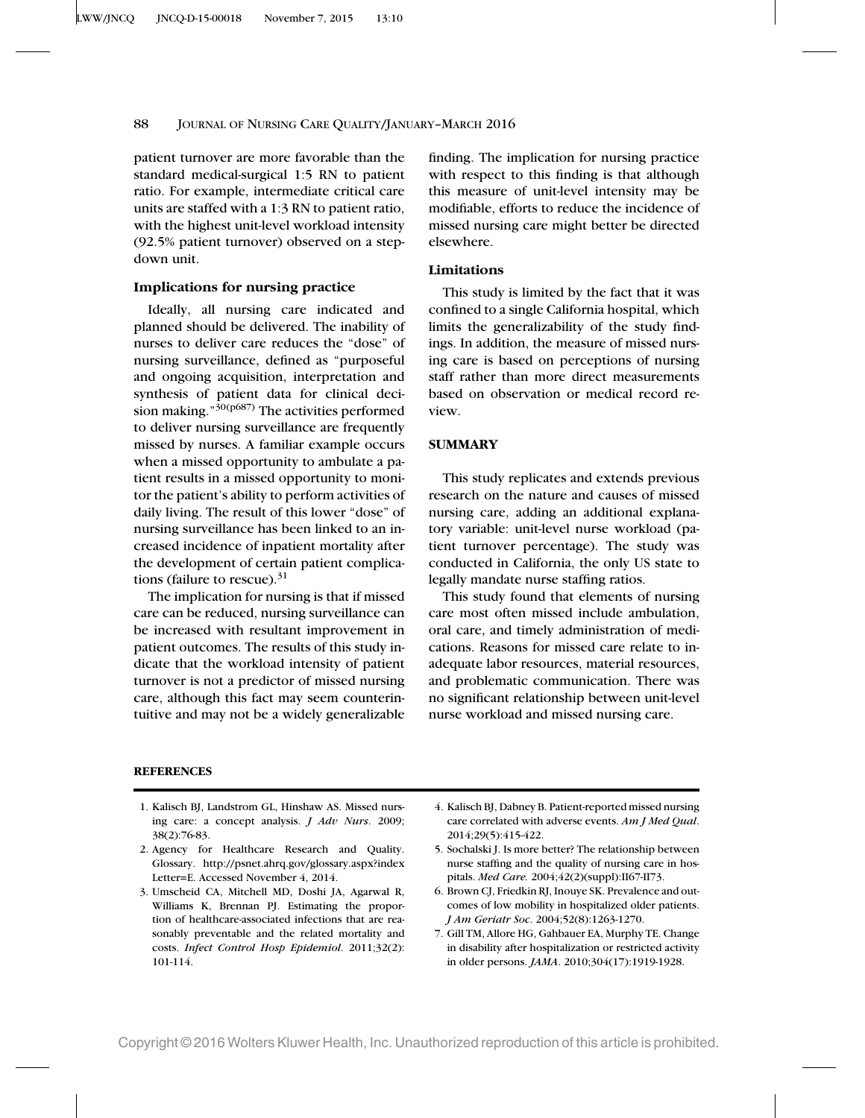patient turnover are more favorable than the standard medical-surgical 1:5 RN to patient ratio. For example, intermediate critical care units are staffed with a 1:3 RN to patient ratio, with the highest unit-level workload intensity (92.5% patient turnover) observed on a stepdown unit.

#### **Implications for nursing practice**

Ideally, all nursing care indicated and planned should be delivered. The inability of nurses to deliver care reduces the "dose" of nursing surveillance, defined as "purposeful and ongoing acquisition, interpretation and synthesis of patient data for clinical decision making." $\frac{30(p687)}{p}$  The activities performed to deliver nursing surveillance are frequently missed by nurses. A familiar example occurs when a missed opportunity to ambulate a patient results in a missed opportunity to monitor the patient's ability to perform activities of daily living. The result of this lower "dose" of nursing surveillance has been linked to an increased incidence of inpatient mortality after the development of certain patient complications (failure to rescue). $31$ 

The implication for nursing is that if missed care can be reduced, nursing surveillance can be increased with resultant improvement in patient outcomes. The results of this study indicate that the workload intensity of patient turnover is not a predictor of missed nursing care, although this fact may seem counterintuitive and may not be a widely generalizable finding. The implication for nursing practice with respect to this finding is that although this measure of unit-level intensity may be modifiable, efforts to reduce the incidence of missed nursing care might better be directed elsewhere.

## **Limitations**

This study is limited by the fact that it was confined to a single California hospital, which limits the generalizability of the study findings. In addition, the measure of missed nursing care is based on perceptions of nursing staff rather than more direct measurements based on observation or medical record review.

### **SUMMARY**

This study replicates and extends previous research on the nature and causes of missed nursing care, adding an additional explanatory variable: unit-level nurse workload (patient turnover percentage). The study was conducted in California, the only US state to legally mandate nurse staffing ratios.

This study found that elements of nursing care most often missed include ambulation, oral care, and timely administration of medications. Reasons for missed care relate to inadequate labor resources, material resources, and problematic communication. There was no significant relationship between unit-level nurse workload and missed nursing care.

#### **REFERENCES**

- 1. Kalisch BJ, Landstrom GL, Hinshaw AS. Missed nursing care: a concept analysis. *J Adv Nurs*. 2009; 38(2):76-83.
- 2. Agency for Healthcare Research and Quality. Glossary. [http://psnet.ahrq.gov/glossary.aspx?index](http://psnet.ahrq.gov/glossary.aspx?indexLetter=E) [Letter=E.](http://psnet.ahrq.gov/glossary.aspx?indexLetter=E) Accessed November 4, 2014.
- 3. Umscheid CA, Mitchell MD, Doshi JA, Agarwal R, Williams K, Brennan PJ. Estimating the proportion of healthcare-associated infections that are reasonably preventable and the related mortality and costs. *Infect Control Hosp Epidemiol*. 2011;32(2): 101-114.
- 4. Kalisch BJ, Dabney B. Patient-reported missed nursing care correlated with adverse events. *Am J Med Qual*. 2014;29(5):415-422.
- 5. Sochalski J. Is more better? The relationship between nurse staffing and the quality of nursing care in hospitals. *Med Care.* 2004;42(2)(suppl):II67-II73.
- 6. Brown CJ, Friedkin RJ, Inouye SK. Prevalence and outcomes of low mobility in hospitalized older patients. *J Am Geriatr Soc*. 2004;52(8):1263-1270.
- 7. Gill TM, Allore HG, Gahbauer EA, Murphy TE. Change in disability after hospitalization or restricted activity in older persons. *JAMA*. 2010;304(17):1919-1928.